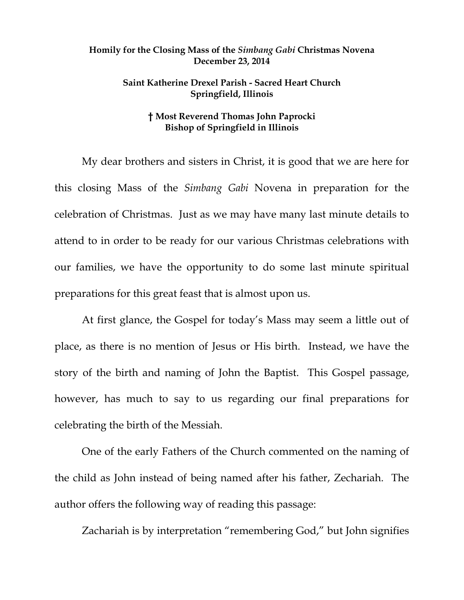## **Homily for the Closing Mass of the** *Simbang Gabi* **Christmas Novena December 23, 2014**

## **Saint Katherine Drexel Parish - Sacred Heart Church Springfield, Illinois**

## **† Most Reverend Thomas John Paprocki Bishop of Springfield in Illinois**

My dear brothers and sisters in Christ, it is good that we are here for this closing Mass of the *Simbang Gabi* Novena in preparation for the celebration of Christmas. Just as we may have many last minute details to attend to in order to be ready for our various Christmas celebrations with our families, we have the opportunity to do some last minute spiritual preparations for this great feast that is almost upon us.

At first glance, the Gospel for today's Mass may seem a little out of place, as there is no mention of Jesus or His birth. Instead, we have the story of the birth and naming of John the Baptist. This Gospel passage, however, has much to say to us regarding our final preparations for celebrating the birth of the Messiah.

One of the early Fathers of the Church commented on the naming of the child as John instead of being named after his father, Zechariah. The author offers the following way of reading this passage:

Zachariah is by interpretation "remembering God," but John signifies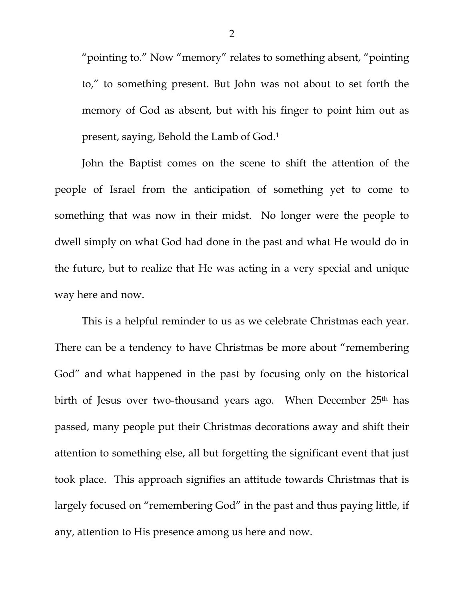"pointing to." Now "memory" relates to something absent, "pointing to," to something present. But John was not about to set forth the memory of God as absent, but with his finger to point him out as present, saying, Behold the Lamb of God.1

 John the Baptist comes on the scene to shift the attention of the people of Israel from the anticipation of something yet to come to something that was now in their midst. No longer were the people to dwell simply on what God had done in the past and what He would do in the future, but to realize that He was acting in a very special and unique way here and now.

 This is a helpful reminder to us as we celebrate Christmas each year. There can be a tendency to have Christmas be more about "remembering God" and what happened in the past by focusing only on the historical birth of Jesus over two-thousand years ago. When December 25<sup>th</sup> has passed, many people put their Christmas decorations away and shift their attention to something else, all but forgetting the significant event that just took place. This approach signifies an attitude towards Christmas that is largely focused on "remembering God" in the past and thus paying little, if any, attention to His presence among us here and now.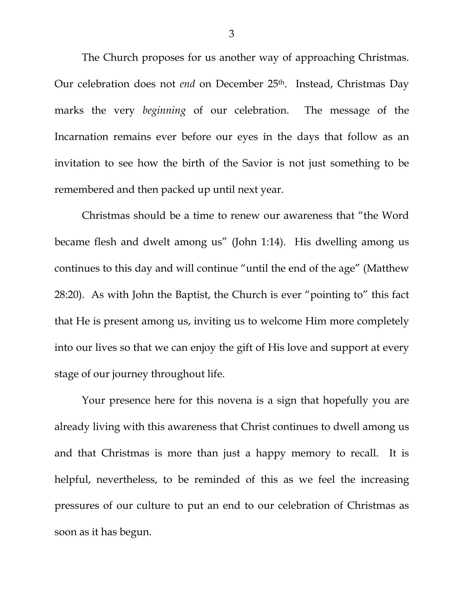The Church proposes for us another way of approaching Christmas. Our celebration does not *end* on December 25<sup>th</sup>. Instead, Christmas Day marks the very *beginning* of our celebration. The message of the Incarnation remains ever before our eyes in the days that follow as an invitation to see how the birth of the Savior is not just something to be remembered and then packed up until next year.

 Christmas should be a time to renew our awareness that "the Word became flesh and dwelt among us" (John 1:14). His dwelling among us continues to this day and will continue "until the end of the age" (Matthew 28:20). As with John the Baptist, the Church is ever "pointing to" this fact that He is present among us, inviting us to welcome Him more completely into our lives so that we can enjoy the gift of His love and support at every stage of our journey throughout life.

 Your presence here for this novena is a sign that hopefully you are already living with this awareness that Christ continues to dwell among us and that Christmas is more than just a happy memory to recall. It is helpful, nevertheless, to be reminded of this as we feel the increasing pressures of our culture to put an end to our celebration of Christmas as soon as it has begun.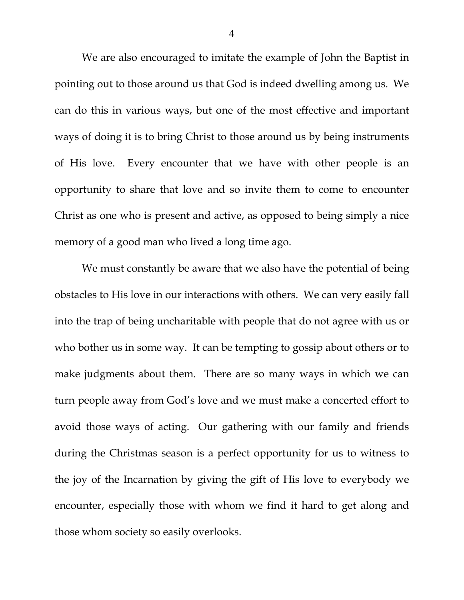We are also encouraged to imitate the example of John the Baptist in pointing out to those around us that God is indeed dwelling among us. We can do this in various ways, but one of the most effective and important ways of doing it is to bring Christ to those around us by being instruments of His love. Every encounter that we have with other people is an opportunity to share that love and so invite them to come to encounter Christ as one who is present and active, as opposed to being simply a nice memory of a good man who lived a long time ago.

 We must constantly be aware that we also have the potential of being obstacles to His love in our interactions with others. We can very easily fall into the trap of being uncharitable with people that do not agree with us or who bother us in some way. It can be tempting to gossip about others or to make judgments about them. There are so many ways in which we can turn people away from God's love and we must make a concerted effort to avoid those ways of acting. Our gathering with our family and friends during the Christmas season is a perfect opportunity for us to witness to the joy of the Incarnation by giving the gift of His love to everybody we encounter, especially those with whom we find it hard to get along and those whom society so easily overlooks.